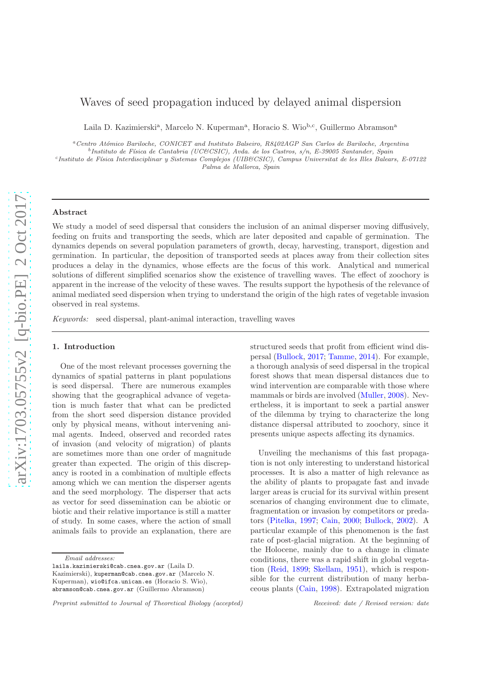# Waves of seed propagation induced by delayed animal dispersion

Laila D. Kazimierski<sup>a</sup>, Marcelo N. Kuperman<sup>a</sup>, Horacio S. Wio<sup>b,c</sup>, Guillermo Abramson<sup>a</sup>

<sup>a</sup>Centro Atómico Bariloche, CONICET and Instituto Balseiro, R8402AGP San Carlos de Bariloche, Argentina

<sup>b</sup>Instituto de Física de Cantabria (UC&CSIC), Avda. de los Castros, s/n, E-39005 Santander, Spain

<sup>c</sup>Instituto de Física Interdisciplinar y Sistemas Complejos (UIB&CSIC), Campus Universitat de les Illes Balears, E-07122 Palma de Mallorca, Spain

# Abstract

We study a model of seed dispersal that considers the inclusion of an animal disperser moving diffusively, feeding on fruits and transporting the seeds, which are later deposited and capable of germination. The dynamics depends on several population parameters of growth, decay, harvesting, transport, digestion and germination. In particular, the deposition of transported seeds at places away from their collection sites produces a delay in the dynamics, whose effects are the focus of this work. Analytical and numerical solutions of different simplified scenarios show the existence of travelling waves. The effect of zoochory is apparent in the increase of the velocity of these waves. The results support the hypothesis of the relevance of animal mediated seed dispersion when trying to understand the origin of the high rates of vegetable invasion observed in real systems.

*Keywords:* seed dispersal, plant-animal interaction, travelling waves

### 1. Introduction

One of the most relevant processes governing the dynamics of spatial patterns in plant populations is seed dispersal. There are numerous examples showing that the geographical advance of vegetation is much faster that what can be predicted from the short seed dispersion distance provided only by physical means, without intervening animal agents. Indeed, observed and recorded rates of invasion (and velocity of migration) of plants are sometimes more than one order of magnitude greater than expected. The origin of this discrepancy is rooted in a combination of multiple effects among which we can mention the disperser agents and the seed morphology. The disperser that acts as vector for seed dissemination can be abiotic or biotic and their relative importance is still a matter of study. In some cases, where the action of small animals fails to provide an explanation, there are

laila.kazimierski@cab.cnea.gov.ar (Laila D.

Preprint submitted to Journal of Theoretical Biology (accepted) Received: date / Revised version: date

structured seeds that profit from efficient wind dispersal [\(Bullock,](#page-7-0) [2017;](#page-7-0) [Tamme](#page-8-0), [2014](#page-8-0)). For example, a thorough analysis of seed dispersal in the tropical forest shows that mean dispersal distances due to wind intervention are comparable with those where mammals or birds are involved [\(Muller,](#page-8-1) [2008\)](#page-8-1). Nevertheless, it is important to seek a partial answer of the dilemma by trying to characterize the long distance dispersal attributed to zoochory, since it presents unique aspects affecting its dynamics.

Unveiling the mechanisms of this fast propagation is not only interesting to understand historical processes. It is also a matter of high relevance as the ability of plants to propagate fast and invade larger areas is crucial for its survival within present scenarios of changing environment due to climate, fragmentation or invasion by competitors or predators [\(Pitelka](#page-8-2), [1997;](#page-8-2) [Cain,](#page-7-1) [2000;](#page-7-1) [Bullock,](#page-7-2) [2002\)](#page-7-2). A particular example of this phenomenon is the fast rate of post-glacial migration. At the beginning of the Holocene, mainly due to a change in climate conditions, there was a rapid shift in global vegetation [\(Reid,](#page-8-3) [1899](#page-8-3); [Skellam,](#page-8-4) [1951\)](#page-8-4), which is responsible for the current distribution of many herbaceous plants [\(Cain](#page-7-3), [1998\)](#page-7-3). Extrapolated migration

Email addresses:

Kazimierski), kuperman@cab.cnea.gov.ar (Marcelo N. Kuperman), wio@ifca.unican.es (Horacio S. Wio),

abramson@cab.cnea.gov.ar (Guillermo Abramson)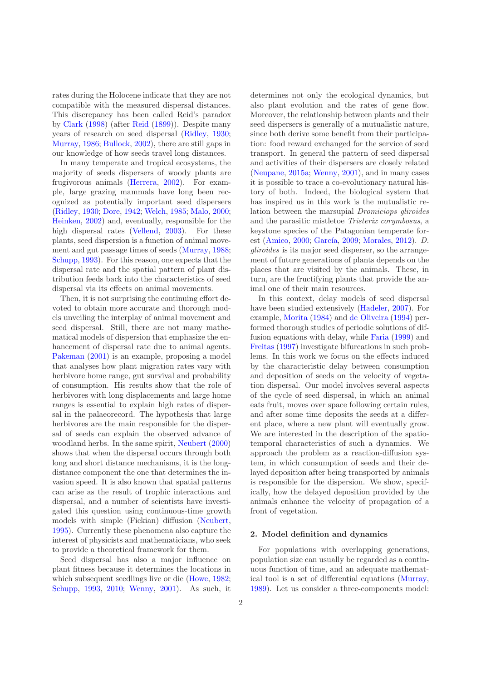rates during the Holocene indicate that they are not compatible with the measured dispersal distances. This discrepancy has been called Reid's paradox by [Clark](#page-7-4) [\(1998\)](#page-7-4) (after [Reid](#page-8-3) [\(1899](#page-8-3))). Despite many years of research on seed dispersal [\(Ridley,](#page-8-5) [1930;](#page-8-5) [Murray,](#page-8-6) [1986;](#page-8-6) [Bullock,](#page-7-2) [2002](#page-7-2)), there are still gaps in our knowledge of how seeds travel long distances.

In many temperate and tropical ecosystems, the majority of seeds dispersers of woody plants are frugivorous animals [\(Herrera](#page-8-7), [2002](#page-8-7)). For example, large grazing mammals have long been recognized as potentially important seed dispersers [\(Ridley](#page-8-5), [1930;](#page-8-5) [Dore](#page-7-5), [1942;](#page-7-5) [Welch](#page-8-8), [1985;](#page-8-8) [Malo,](#page-8-9) [2000;](#page-8-9) [Heinken,](#page-8-10) [2002\)](#page-8-10) and, eventually, responsible for the high dispersal rates [\(Vellend,](#page-8-11) [2003\)](#page-8-11). For these plants, seed dispersion is a function of animal movement and gut passage times of seeds [\(Murray,](#page-8-12) [1988;](#page-8-12) [Schupp](#page-8-13), [1993\)](#page-8-13). For this reason, one expects that the dispersal rate and the spatial pattern of plant distribution feeds back into the characteristics of seed dispersal via its effects on animal movements.

Then, it is not surprising the continuing effort devoted to obtain more accurate and thorough models unveiling the interplay of animal movement and seed dispersal. Still, there are not many mathematical models of dispersion that emphasize the enhancement of dispersal rate due to animal agents. [Pakeman](#page-8-14) [\(2001\)](#page-8-14) is an example, proposing a model that analyses how plant migration rates vary with herbivore home range, gut survival and probability of consumption. His results show that the role of herbivores with long displacements and large home ranges is essential to explain high rates of dispersal in the palaeorecord. The hypothesis that large herbivores are the main responsible for the dispersal of seeds can explain the observed advance of woodland herbs. In the same spirit, [Neubert](#page-8-15) [\(2000\)](#page-8-15) shows that when the dispersal occurs through both long and short distance mechanisms, it is the longdistance component the one that determines the invasion speed. It is also known that spatial patterns can arise as the result of trophic interactions and dispersal, and a number of scientists have investigated this question using continuous-time growth models with simple (Fickian) diffusion [\(Neubert,](#page-8-16) [1995\)](#page-8-16). Currently these phenomena also capture the interest of physicists and mathematicians, who seek to provide a theoretical framework for them.

Seed dispersal has also a major influence on plant fitness because it determines the locations in which subsequent seedlings live or die [\(Howe](#page-8-17), [1982;](#page-8-17) [Schupp](#page-8-13), [1993,](#page-8-13) [2010;](#page-8-18) [Wenny,](#page-8-19) [2001\)](#page-8-19). As such, it determines not only the ecological dynamics, but also plant evolution and the rates of gene flow. Moreover, the relationship between plants and their seed dispersers is generally of a mutualistic nature, since both derive some benefit from their participation: food reward exchanged for the service of seed transport. In general the pattern of seed dispersal and activities of their dispersers are closely related [\(Neupane](#page-8-20), [2015a;](#page-8-20) [Wenny](#page-8-19), [2001\)](#page-8-19), and in many cases it is possible to trace a co-evolutionary natural history of both. Indeed, the biological system that has inspired us in this work is the mutualistic relation between the marsupial *Dromiciops gliroides* and the parasitic mistletoe *Tristerix corymbosus*, a keystone species of the Patagonian temperate for-est [\(Amico,](#page-7-6) [2000;](#page-7-6) García, [2009;](#page-7-7) [Morales](#page-8-21), [2012](#page-8-21)). *D. gliroides* is its major seed disperser, so the arrangement of future generations of plants depends on the places that are visited by the animals. These, in turn, are the fructifying plants that provide the animal one of their main resources.

In this context, delay models of seed dispersal have been studied extensively [\(Hadeler](#page-7-8), [2007](#page-7-8)). For example, [Morita](#page-8-22) [\(1984](#page-8-22)) and [de Oliveira](#page-7-9) [\(1994\)](#page-7-9) performed thorough studies of periodic solutions of diffusion equations with delay, while [Faria](#page-7-10) [\(1999\)](#page-7-10) and [Freitas](#page-7-11) [\(1997\)](#page-7-11) investigate bifurcations in such problems. In this work we focus on the effects induced by the characteristic delay between consumption and deposition of seeds on the velocity of vegetation dispersal. Our model involves several aspects of the cycle of seed dispersal, in which an animal eats fruit, moves over space following certain rules, and after some time deposits the seeds at a different place, where a new plant will eventually grow. We are interested in the description of the spatiotemporal characteristics of such a dynamics. We approach the problem as a reaction-diffusion system, in which consumption of seeds and their delayed deposition after being transported by animals is responsible for the dispersion. We show, specifically, how the delayed deposition provided by the animals enhance the velocity of propagation of a front of vegetation.

### 2. Model definition and dynamics

For populations with overlapping generations, population size can usually be regarded as a continuous function of time, and an adequate mathematical tool is a set of differential equations [\(Murray](#page-8-23), [1989\)](#page-8-23). Let us consider a three-components model: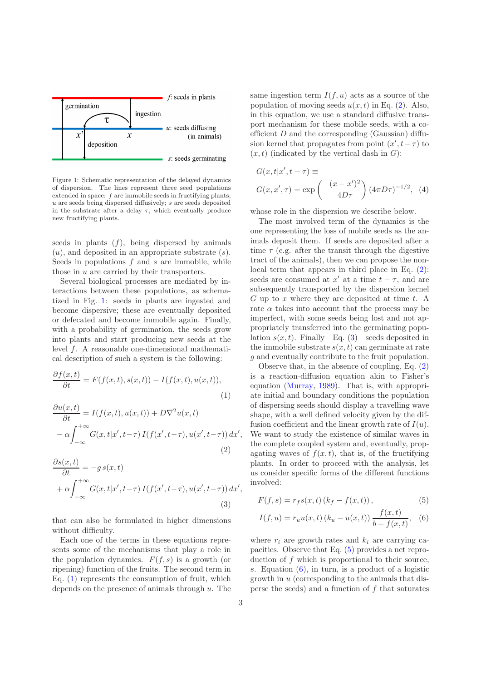

<span id="page-2-0"></span>Figure 1: Schematic representation of the delayed dynamics of dispersion. The lines represent three seed populations extended in space: f are immobile seeds in fructifying plants;  $u$  are seeds being dispersed diffusively;  $s$  are seeds deposited in the substrate after a delay  $\tau$ , which eventually produce new fructifying plants.

seeds in plants  $(f)$ , being dispersed by animals  $(u)$ , and deposited in an appropriate substrate  $(s)$ . Seeds in populations  $f$  and  $s$  are immobile, while those in u are carried by their transporters.

Several biological processes are mediated by interactions between these populations, as schematized in Fig. [1:](#page-2-0) seeds in plants are ingested and become dispersive; these are eventually deposited or defecated and become immobile again. Finally, with a probability of germination, the seeds grow into plants and start producing new seeds at the level f. A reasonable one-dimensional mathematical description of such a system is the following:

$$
\frac{\partial f(x,t)}{\partial t} = F(f(x,t), s(x,t)) - I(f(x,t), u(x,t)),\tag{1}
$$

$$
\frac{\partial u(x,t)}{\partial t} = I(f(x,t), u(x,t)) + D\nabla^2 u(x,t)
$$

$$
- \alpha \int_{-\infty}^{+\infty} G(x,t|x',t-\tau) I(f(x',t-\tau), u(x',t-\tau)) dx'
$$
\n(2)

$$
\frac{\partial s(x,t)}{\partial t} = -g s(x,t)
$$
  
+  $\alpha \int_{-\infty}^{+\infty} G(x,t|x',t-\tau) I(f(x',t-\tau),u(x',t-\tau)) dx'$   
(3)

that can also be formulated in higher dimensions without difficulty.

Each one of the terms in these equations represents some of the mechanisms that play a role in the population dynamics.  $F(f, s)$  is a growth (or ripening) function of the fruits. The second term in Eq. [\(1\)](#page-2-1) represents the consumption of fruit, which depends on the presence of animals through  $u$ . The same ingestion term  $I(f, u)$  acts as a source of the population of moving seeds  $u(x, t)$  in Eq. [\(2\)](#page-2-2). Also, in this equation, we use a standard diffusive transport mechanism for these mobile seeds, with a coefficient  $D$  and the corresponding (Gaussian) diffusion kernel that propagates from point  $(x', t - \tau)$  to  $(x, t)$  (indicated by the vertical dash in G):

$$
G(x,t|x',t-\tau) \equiv
$$
  

$$
G(x,x',\tau) = \exp\left(-\frac{(x-x')^2}{4D\tau}\right) (4\pi D\tau)^{-1/2}, (4)
$$

whose role in the dispersion we describe below.

The most involved term of the dynamics is the one representing the loss of mobile seeds as the animals deposit them. If seeds are deposited after a time  $\tau$  (e.g. after the transit through the digestive tract of the animals), then we can propose the nonlocal term that appears in third place in Eq. [\(2\)](#page-2-2): seeds are consumed at  $x'$  at a time  $t - \tau$ , and are subsequently transported by the dispersion kernel G up to x where they are deposited at time t. A rate  $\alpha$  takes into account that the process may be imperfect, with some seeds being lost and not appropriately transferred into the germinating population  $s(x, t)$ . Finally—Eq. [\(3\)](#page-2-3)—seeds deposited in the immobile substrate  $s(x, t)$  can germinate at rate g and eventually contribute to the fruit population.

<span id="page-2-1"></span>Observe that, in the absence of coupling, Eq. [\(2\)](#page-2-2) is a reaction-diffusion equation akin to Fisher's equation [\(Murray](#page-8-23), [1989](#page-8-23)). That is, with appropriate initial and boundary conditions the population of dispersing seeds should display a travelling wave shape, with a well defined velocity given by the diffusion coefficient and the linear growth rate of  $I(u)$ . We want to study the existence of similar waves in the complete coupled system and, eventually, propagating waves of  $f(x, t)$ , that is, of the fructifying plants. In order to proceed with the analysis, let us consider specific forms of the different functions involved:

$$
F(f, s) = r_f s(x, t) (k_f - f(x, t)),
$$
\n(5)

<span id="page-2-5"></span><span id="page-2-4"></span>
$$
I(f, u) = r_u u(x, t) (k_u - u(x, t)) \frac{f(x, t)}{b + f(x, t)}, \quad (6)
$$

where  $r_i$  are growth rates and  $k_i$  are carrying capacities. Observe that Eq. [\(5\)](#page-2-4) provides a net reproduction of f which is proportional to their source, s. Equation [\(6\)](#page-2-5), in turn, is a product of a logistic growth in  $u$  (corresponding to the animals that disperse the seeds) and a function of  $f$  that saturates

<span id="page-2-2"></span>,

<span id="page-2-3"></span>,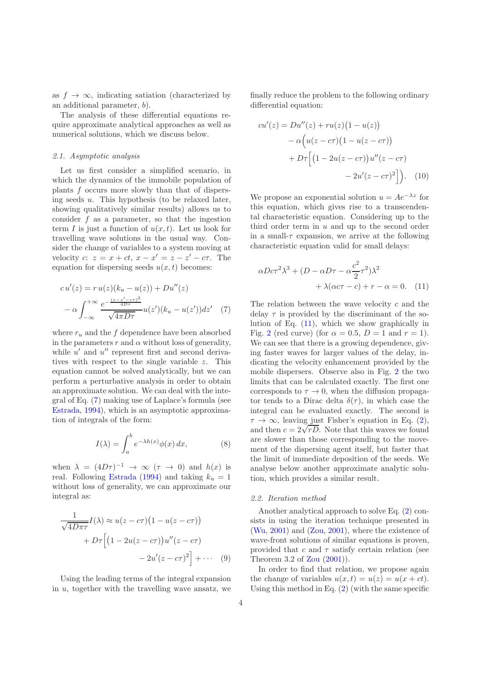as  $f \rightarrow \infty$ , indicating satiation (characterized by an additional parameter, b).

The analysis of these differential equations require approximate analytical approaches as well as numerical solutions, which we discuss below.

# *2.1. Asymptotic analysis*

Let us first consider a simplified scenario, in which the dynamics of the immobile population of plants f occurs more slowly than that of dispersing seeds  $u$ . This hypothesis (to be relaxed later, showing qualitatively similar results) allows us to consider  $f$  as a parameter, so that the ingestion term I is just a function of  $u(x, t)$ . Let us look for travelling wave solutions in the usual way. Consider the change of variables to a system moving at velocity  $c: z = x + ct, x - x' = z - z' - c\tau$ . The equation for dispersing seeds  $u(x, t)$  becomes:

$$
cu'(z) = ru(z)(k_u - u(z)) + Du''(z)
$$

$$
- \alpha \int_{-\infty}^{+\infty} \frac{e^{-\frac{(z-z'-c\tau)^2}{4D\tau}}}{\sqrt{4\pi D\tau}} u(z')(k_u - u(z'))dz' \quad (7)
$$

where  $r_u$  and the f dependence have been absorbed in the parameters r and  $\alpha$  without loss of generality, while  $u'$  and  $u''$  represent first and second derivatives with respect to the single variable z. This equation cannot be solved analytically, but we can perform a perturbative analysis in order to obtain an approximate solution. We can deal with the integral of Eq. [\(7\)](#page-3-0) making use of Laplace's formula (see [Estrada,](#page-7-12) [1994](#page-7-12)), which is an asymptotic approximation of integrals of the form:

$$
I(\lambda) = \int_{a}^{b} e^{-\lambda h(x)} \phi(x) dx,
$$
 (8)

when  $\lambda = (4D\tau)^{-1} \rightarrow \infty$  ( $\tau \rightarrow 0$ ) and  $h(x)$  is real. Following [Estrada](#page-7-12) [\(1994](#page-7-12)) and taking  $k_u = 1$ without loss of generality, we can approximate our integral as:

$$
\frac{1}{\sqrt{4D\pi\tau}}I(\lambda) \approx u(z - c\tau)\big(1 - u(z - c\tau)\big)
$$

$$
+ D\tau \Big[ \big(1 - 2u(z - c\tau)\big)u''(z - c\tau)
$$

$$
- 2u'(z - c\tau)^2 \Big] + \cdots \quad (9)
$$

Using the leading terms of the integral expansion in  $u$ , together with the travelling wave ansatz, we finally reduce the problem to the following ordinary differential equation:

$$
cu'(z) = Du''(z) + ru(z)(1 - u(z))
$$

$$
- \alpha \Big( u(z - c\tau)(1 - u(z - c\tau))
$$

$$
+ D\tau \Big[ \big( 1 - 2u(z - c\tau) \big) u''(z - c\tau)
$$

$$
- 2u'(z - c\tau)^2 \Big] \Big). \quad (10)
$$

We propose an exponential solution  $u = Ae^{-\lambda z}$  for this equation, which gives rise to a transcendental characteristic equation. Considering up to the third order term in  $u$  and up to the second order in a small- $\tau$  expansion, we arrive at the following characteristic equation valid for small delays:

<span id="page-3-1"></span>
$$
\alpha D c \tau^2 \lambda^3 + (D - \alpha D \tau - \alpha \frac{c^2}{2} \tau^2) \lambda^2
$$
  
+  $\lambda (\alpha c \tau - c) + r - \alpha = 0.$  (11)

<span id="page-3-0"></span>The relation between the wave velocity  $c$  and the delay  $\tau$  is provided by the discriminant of the solution of Eq. [\(11\)](#page-3-1), which we show graphically in Fig. [2](#page-4-0) (red curve) (for  $\alpha = 0.5$ ,  $D = 1$  and  $r = 1$ ). We can see that there is a growing dependence, giving faster waves for larger values of the delay, indicating the velocity enhancement provided by the mobile dispersers. Observe also in Fig. [2](#page-4-0) the two limits that can be calculated exactly. The first one corresponds to  $\tau \to 0$ , when the diffusion propagator tends to a Dirac delta  $\delta(\tau)$ , in which case the integral can be evaluated exactly. The second is  $\tau \to \infty$ , leaving just Fisher's equation in Eq. [\(2\)](#page-2-2), and then  $c = 2\sqrt{rD}$ . Note that this waves we found are slower than those corresponding to the movement of the dispersing agent itself, but faster that the limit of immediate deposition of the seeds. We analyse below another approximate analytic solution, which provides a similar result.

# *2.2. Iteration method*

Another analytical approach to solve Eq. [\(2\)](#page-2-2) consists in using the iteration technique presented in [\(Wu](#page-8-24), [2001](#page-8-24)) and [\(Zou](#page-8-25), [2001\)](#page-8-25), where the existence of wave-front solutions of similar equations is proven, provided that c and  $\tau$  satisfy certain relation (see Theorem 3.2 of [Zou](#page-8-25) [\(2001\)](#page-8-25)).

In order to find that relation, we propose again the change of variables  $u(x,t) = u(z) = u(x + ct)$ . Using this method in Eq.  $(2)$  (with the same specific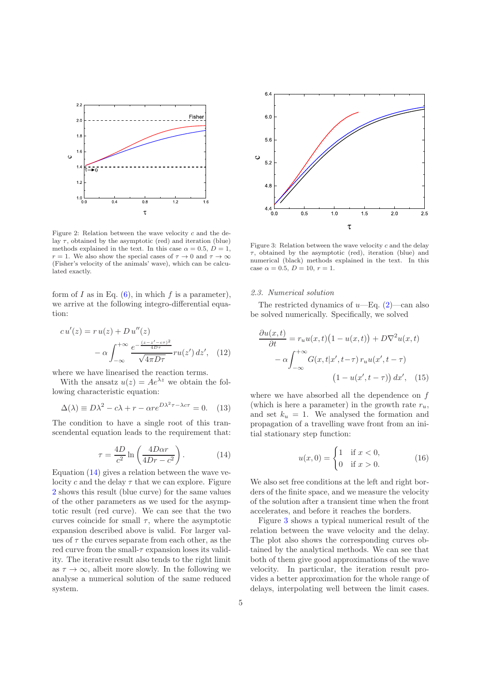

<span id="page-4-0"></span>Figure 2: Relation between the wave velocity  $c$  and the delay  $\tau$ , obtained by the asymptotic (red) and iteration (blue) methods explained in the text. In this case  $\alpha = 0.5, D = 1$ ,  $r = 1$ . We also show the special cases of  $\tau \to 0$  and  $\tau \to \infty$ (Fisher's velocity of the animals' wave), which can be calculated exactly.

form of I as in Eq.  $(6)$ , in which f is a parameter), we arrive at the following integro-differential equation:

$$
cu'(z) = ru(z) + Du''(z)
$$

$$
- \alpha \int_{-\infty}^{+\infty} \frac{e^{-\frac{(z-z'-c\tau)^2}{4D\tau}}}{\sqrt{4\pi D\tau}} ru(z') dz', \quad (12)
$$

where we have linearised the reaction terms.

With the ansatz  $u(z) = Ae^{\lambda z}$  we obtain the following characteristic equation:

$$
\Delta(\lambda) \equiv D\lambda^2 - c\lambda + r - \alpha r e^{D\lambda^2 \tau - \lambda c \tau} = 0. \quad (13)
$$

<span id="page-4-1"></span>The condition to have a single root of this transcendental equation leads to the requirement that:

$$
\tau = \frac{4D}{c^2} \ln \left( \frac{4D\alpha r}{4Dr - c^2} \right). \tag{14}
$$

Equation [\(14\)](#page-4-1) gives a relation between the wave velocity c and the delay  $\tau$  that we can explore. Figure [2](#page-4-0) shows this result (blue curve) for the same values of the other parameters as we used for the asymptotic result (red curve). We can see that the two curves coincide for small  $\tau$ , where the asymptotic expansion described above is valid. For larger values of  $\tau$  the curves separate from each other, as the red curve from the small- $\tau$  expansion loses its validity. The iterative result also tends to the right limit as  $\tau \to \infty$ , albeit more slowly. In the following we analyse a numerical solution of the same reduced system.



<span id="page-4-2"></span>Figure 3: Relation between the wave velocity  $c$  and the delay  $\tau$ , obtained by the asymptotic (red), iteration (blue) and numerical (black) methods explained in the text. In this case  $\alpha = 0.5, D = 10, r = 1$ .

#### *2.3. Numerical solution*

The restricted dynamics of  $u$ —Eq.  $(2)$ —can also be solved numerically. Specifically, we solved

$$
\frac{\partial u(x,t)}{\partial t} = r_u u(x,t) \big( 1 - u(x,t) \big) + D \nabla^2 u(x,t)
$$

$$
- \alpha \int_{-\infty}^{+\infty} G(x,t|x',t-\tau) r_u u(x',t-\tau)
$$

$$
\big( 1 - u(x',t-\tau) \big) dx', \quad (15)
$$

where we have absorbed all the dependence on f (which is here a parameter) in the growth rate  $r_u$ , and set  $k_u = 1$ . We analysed the formation and propagation of a travelling wave front from an initial stationary step function:

$$
u(x,0) = \begin{cases} 1 & \text{if } x < 0, \\ 0 & \text{if } x > 0. \end{cases}
$$
 (16)

We also set free conditions at the left and right borders of the finite space, and we measure the velocity of the solution after a transient time when the front accelerates, and before it reaches the borders.

Figure [3](#page-4-2) shows a typical numerical result of the relation between the wave velocity and the delay. The plot also shows the corresponding curves obtained by the analytical methods. We can see that both of them give good approximations of the wave velocity. In particular, the iteration result provides a better approximation for the whole range of delays, interpolating well between the limit cases.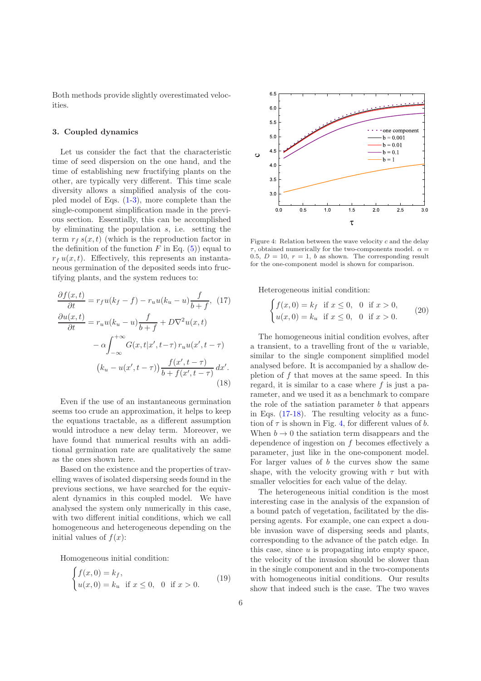Both methods provide slightly overestimated velocities.

# 3. Coupled dynamics

Let us consider the fact that the characteristic time of seed dispersion on the one hand, and the time of establishing new fructifying plants on the other, are typically very different. This time scale diversity allows a simplified analysis of the coupled model of Eqs. [\(1-](#page-2-1)[3\)](#page-2-3), more complete than the single-component simplification made in the previous section. Essentially, this can be accomplished by eliminating the population s, i.e. setting the term  $r_f s(x, t)$  (which is the reproduction factor in the definition of the function  $F$  in Eq. [\(5\)](#page-2-4)) equal to  $r_f u(x, t)$ . Effectively, this represents an instantaneous germination of the deposited seeds into fructifying plants, and the system reduces to:

$$
\frac{\partial f(x,t)}{\partial t} = r_f u(k_f - f) - r_u u(k_u - u) \frac{f}{b+f}, \quad (17)
$$

$$
\frac{\partial u(x,t)}{\partial t} = r_u u(k_u - u) \frac{f}{b+f} + D\nabla^2 u(x,t)
$$

$$
- \alpha \int_{-\infty}^{+\infty} G(x,t|x',t-\tau) r_u u(x',t-\tau)
$$

$$
(k_u - u(x',t-\tau)) \frac{f(x',t-\tau)}{b+f(x',t-\tau)} dx'.
$$
(18)

Even if the use of an instantaneous germination seems too crude an approximation, it helps to keep the equations tractable, as a different assumption would introduce a new delay term. Moreover, we have found that numerical results with an additional germination rate are qualitatively the same as the ones shown here.

Based on the existence and the properties of travelling waves of isolated dispersing seeds found in the previous sections, we have searched for the equivalent dynamics in this coupled model. We have analysed the system only numerically in this case, with two different initial conditions, which we call homogeneous and heterogeneous depending on the initial values of  $f(x)$ :

Homogeneous initial condition:

$$
\begin{cases} f(x,0) = k_f, \\ u(x,0) = k_u \text{ if } x \le 0, \quad 0 \text{ if } x > 0. \end{cases}
$$
 (19)



<span id="page-5-2"></span>Figure 4: Relation between the wave velocity c and the delay  $\tau$ , obtained numerically for the two-components model.  $\alpha$  = 0.5,  $D = 10$ ,  $r = 1$ , b as shown. The corresponding result for the one-component model is shown for comparison.

<span id="page-5-0"></span>Heterogeneous initial condition:

$$
\begin{cases} f(x,0) = k_f & \text{if } x \le 0, \quad 0 \text{ if } x > 0, \\ u(x,0) = k_u & \text{if } x \le 0, \quad 0 \text{ if } x > 0. \end{cases}
$$
 (20)

<span id="page-5-1"></span>The homogeneous initial condition evolves, after a transient, to a travelling front of the  $u$  variable, similar to the single component simplified model analysed before. It is accompanied by a shallow depletion of  $f$  that moves at the same speed. In this regard, it is similar to a case where  $f$  is just a parameter, and we used it as a benchmark to compare the role of the satiation parameter  $b$  that appears in Eqs. [\(17-](#page-5-0)[18\)](#page-5-1). The resulting velocity as a function of  $\tau$  is shown in Fig. [4,](#page-5-2) for different values of b. When  $b \to 0$  the satiation term disappears and the dependence of ingestion on f becomes effectively a parameter, just like in the one-component model. For larger values of b the curves show the same shape, with the velocity growing with  $\tau$  but with smaller velocities for each value of the delay.

The heterogeneous initial condition is the most interesting case in the analysis of the expansion of a bound patch of vegetation, facilitated by the dispersing agents. For example, one can expect a double invasion wave of dispersing seeds and plants, corresponding to the advance of the patch edge. In this case, since  $u$  is propagating into empty space, the velocity of the invasion should be slower than in the single component and in the two-components with homogeneous initial conditions. Our results show that indeed such is the case. The two waves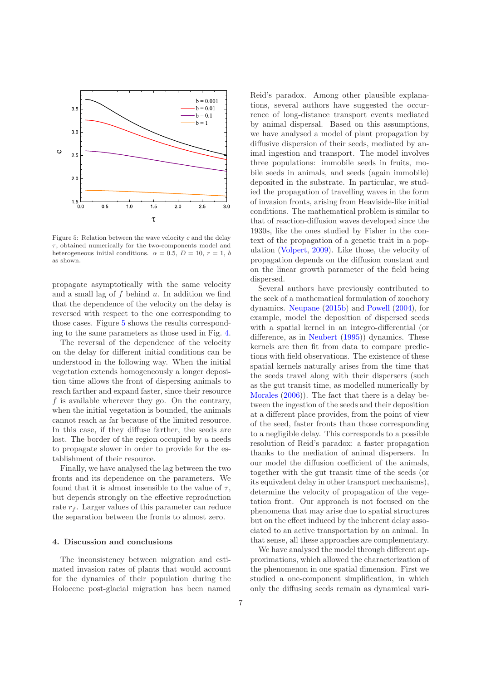

<span id="page-6-0"></span>Figure 5: Relation between the wave velocity  $c$  and the delay  $\tau$ , obtained numerically for the two-components model and heterogeneous initial conditions.  $\alpha = 0.5$ ,  $D = 10$ ,  $r = 1$ , b as shown.

propagate asymptotically with the same velocity and a small lag of  $f$  behind  $u$ . In addition we find that the dependence of the velocity on the delay is reversed with respect to the one corresponding to those cases. Figure [5](#page-6-0) shows the results corresponding to the same parameters as those used in Fig. [4.](#page-5-2)

The reversal of the dependence of the velocity on the delay for different initial conditions can be understood in the following way. When the initial vegetation extends homogeneously a longer deposition time allows the front of dispersing animals to reach farther and expand faster, since their resource f is available wherever they go. On the contrary, when the initial vegetation is bounded, the animals cannot reach as far because of the limited resource. In this case, if they diffuse farther, the seeds are lost. The border of the region occupied by  $u$  needs to propagate slower in order to provide for the establishment of their resource.

Finally, we have analysed the lag between the two fronts and its dependence on the parameters. We found that it is almost insensible to the value of  $\tau$ , but depends strongly on the effective reproduction rate  $r_f$ . Larger values of this parameter can reduce the separation between the fronts to almost zero.

#### 4. Discussion and conclusions

The inconsistency between migration and estimated invasion rates of plants that would account for the dynamics of their population during the Holocene post-glacial migration has been named Reid's paradox. Among other plausible explanations, several authors have suggested the occurrence of long-distance transport events mediated by animal dispersal. Based on this assumptions, we have analysed a model of plant propagation by diffusive dispersion of their seeds, mediated by animal ingestion and transport. The model involves three populations: immobile seeds in fruits, mobile seeds in animals, and seeds (again immobile) deposited in the substrate. In particular, we studied the propagation of travelling waves in the form of invasion fronts, arising from Heaviside-like initial conditions. The mathematical problem is similar to that of reaction-diffusion waves developed since the 1930s, like the ones studied by Fisher in the context of the propagation of a genetic trait in a population [\(Volpert,](#page-8-26) [2009\)](#page-8-26). Like those, the velocity of propagation depends on the diffusion constant and on the linear growth parameter of the field being dispersed.

Several authors have previously contributed to the seek of a mathematical formulation of zoochory dynamics. [Neupane](#page-8-27) [\(2015b\)](#page-8-27) and [Powell](#page-8-28) [\(2004](#page-8-28)), for example, model the deposition of dispersed seeds with a spatial kernel in an integro-differential (or difference, as in [Neubert](#page-8-16) [\(1995\)](#page-8-16)) dynamics. These kernels are then fit from data to compare predictions with field observations. The existence of these spatial kernels naturally arises from the time that the seeds travel along with their dispersers (such as the gut transit time, as modelled numerically by [Morales](#page-8-29) [\(2006\)](#page-8-29)). The fact that there is a delay between the ingestion of the seeds and their deposition at a different place provides, from the point of view of the seed, faster fronts than those corresponding to a negligible delay. This corresponds to a possible resolution of Reid's paradox: a faster propagation thanks to the mediation of animal dispersers. In our model the diffusion coefficient of the animals, together with the gut transit time of the seeds (or its equivalent delay in other transport mechanisms), determine the velocity of propagation of the vegetation front. Our approach is not focused on the phenomena that may arise due to spatial structures but on the effect induced by the inherent delay associated to an active transportation by an animal. In that sense, all these approaches are complementary.

We have analysed the model through different approximations, which allowed the characterization of the phenomenon in one spatial dimension. First we studied a one-component simplification, in which only the diffusing seeds remain as dynamical vari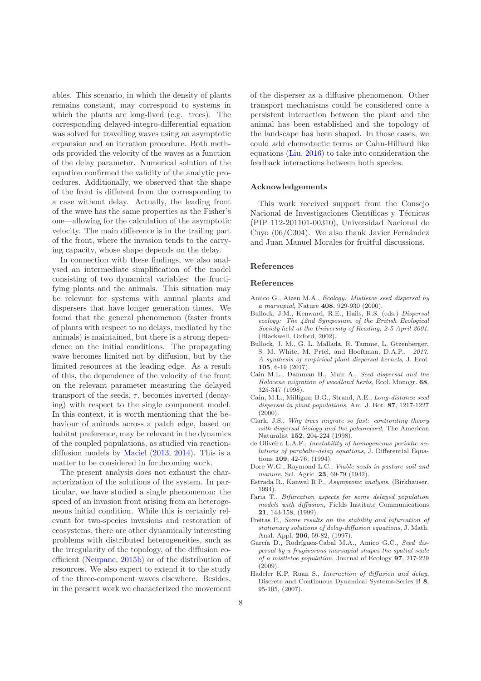ables. This scenario, in which the density of plants remains constant, may correspond to systems in which the plants are long-lived (e.g. trees). The corresponding delayed-integro-differential equation was solved for travelling waves using an asymptotic expansion and an iteration procedure. Both methods provided the velocity of the waves as a function of the delay parameter. Numerical solution of the equation confirmed the validity of the analytic procedures. Additionally, we observed that the shape of the front is different from the corresponding to a case without delay. Actually, the leading front of the wave has the same properties as the Fisher's one—allowing for the calculation of the asymptotic velocity. The main difference is in the trailing part of the front, where the invasion tends to the carrying capacity, whose shape depends on the delay.

In connection with these findings, we also analysed an intermediate simplification of the model consisting of two dynamical variables: the fructifying plants and the animals. This situation may be relevant for systems with annual plants and dispersers that have longer generation times. We found that the general phenomenon (faster fronts of plants with respect to no delays, mediated by the animals) is maintained, but there is a strong dependence on the initial conditions. The propagating wave becomes limited not by diffusion, but by the limited resources at the leading edge. As a result of this, the dependence of the velocity of the front on the relevant parameter measuring the delayed transport of the seeds,  $\tau$ , becomes inverted (decaying) with respect to the single component model. In this context, it is worth mentioning that the behaviour of animals across a patch edge, based on habitat preference, may be relevant in the dynamics of the coupled populations, as studied via reactiondiffusion models by [Maciel](#page-8-30) [\(2013,](#page-8-30) [2014\)](#page-8-31). This is a matter to be considered in forthcoming work.

The present analysis does not exhaust the characterization of the solutions of the system. In particular, we have studied a single phenomenon: the speed of an invasion front arising from an heterogeneous initial condition. While this is certainly relevant for two-species invasions and restoration of ecosystems, there are other dynamically interesting problems with distributed heterogeneities, such as the irregularity of the topology, of the diffusion coefficient [\(Neupane](#page-8-27), [2015b\)](#page-8-27) or of the distribution of resources. We also expect to extend it to the study of the three-component waves elsewhere. Besides, in the present work we characterized the movement

of the disperser as a diffusive phenomenon. Other transport mechanisms could be considered once a persistent interaction between the plant and the animal has been established and the topology of the landscape has been shaped. In those cases, we could add chemotactic terms or Cahn-Hilliard like equations [\(Liu](#page-8-32), [2016\)](#page-8-32) to take into consideration the feedback interactions between both species.

### Acknowledgements

This work received support from the Consejo Nacional de Investigaciones Científicas y Técnicas (PIP 112-201101-00310), Universidad Nacional de Cuyo  $(06/C304)$ . We also thank Javier Fernández and Juan Manuel Morales for fruitful discussions.

# References

### References

- <span id="page-7-6"></span>Amico G., Aizen M.A., Ecology: Mistletoe seed dispersal by a marsupial, Nature 408, 929-930 (2000).
- <span id="page-7-2"></span>Bullock, J.M., Kenward, R.E., Hails, R.S. (eds.) Dispersal ecology: The 42nd Symposium of the British Ecological Society held at the University of Reading, 2-5 April 2001, (Blackwell, Oxford, 2002).
- <span id="page-7-0"></span>Bullock, J. M., G. L. Mallada, R. Tamme, L. Gtzenberger, S. M. White, M. Prtel, and Hooftman, D.A.P., 2017. A synthesis of empirical plant dispersal kernels, J. Ecol. 105, 6-19 (2017).
- <span id="page-7-3"></span>Cain M.L., Damman H., Muir A., Seed dispersal and the Holocene migration of woodland herbs, Ecol. Monogr. 68, 325-347 (1998).
- <span id="page-7-1"></span>Cain, M.L., Milligan, B.G., Strand, A.E., Long-distance seed dispersal in plant populations, Am. J. Bot. 87, 1217-1227  $(2000)$ .
- <span id="page-7-4"></span>Clark, J.S., Why trees migrate so fast: contronting theory with dispersal biology and the paleorecord, The American Naturalist 152, 204-224 (1998).
- <span id="page-7-9"></span>de Oliveira L.A.F., Inestability of homogeneous periodic solutions of parabolic-delay equations, J. Differential Equations 109, 42-76, (1994).
- <span id="page-7-5"></span>Dore W.G., Raymond L.C., Viable seeds in pasture soil and manure, Sci. Agric. 23, 69-79 (1942).
- <span id="page-7-12"></span>Estrada R., Kanwal R.P., Asymptotic analysis, (Birkhauser, 1994).
- <span id="page-7-10"></span>Faria T., Bifurcation aspects for some delayed population models with diffusion, Fields Institute Communications 21, 143-158, (1999).
- <span id="page-7-11"></span>Freitas P., Some results on the stability and bifurcation of stationary solutions of delay-diffusion equations, J. Math. Anal. Appl. 206, 59-82, (1997).
- <span id="page-7-7"></span>García D., Rodríguez-Cabal M.A., Amico G.C., Seed dispersal by a frugivorous marsupial shapes the spatial scale of a mistletoe population, Journal of Ecology 97, 217-229  $(2009)$
- <span id="page-7-8"></span>Hadeler K.P, Ruan S., Interaction of diffusion and delay, Discrete and Continuous Dynamical Systems-Series B 8, 95-105, (2007).